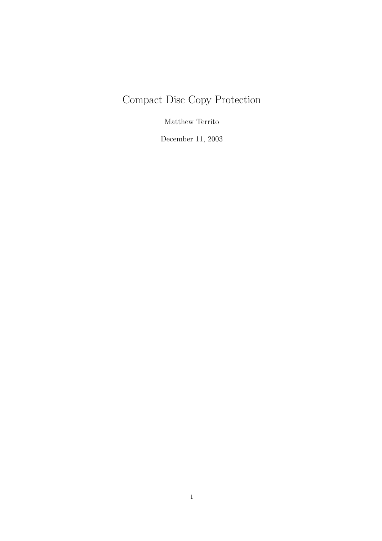# Compact Disc Copy Protection

Matthew Territo

December 11, 2003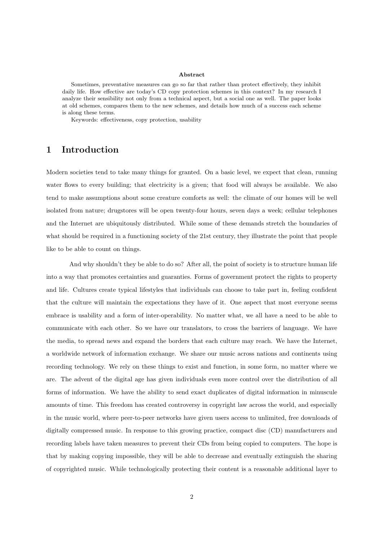#### Abstract

Sometimes, preventative measures can go so far that rather than protect effectively, they inhibit daily life. How effective are today's CD copy protection schemes in this context? In my research I analyze their sensibility not only from a technical aspect, but a social one as well. The paper looks at old schemes, compares them to the new schemes, and details how much of a success each scheme is along these terms.

Keywords: effectiveness, copy protection, usability

# 1 Introduction

Modern societies tend to take many things for granted. On a basic level, we expect that clean, running water flows to every building; that electricity is a given; that food will always be available. We also tend to make assumptions about some creature comforts as well: the climate of our homes will be well isolated from nature; drugstores will be open twenty-four hours, seven days a week; cellular telephones and the Internet are ubiquitously distributed. While some of these demands stretch the boundaries of what should be required in a functioning society of the 21st century, they illustrate the point that people like to be able to count on things.

And why shouldn't they be able to do so? After all, the point of society is to structure human life into a way that promotes certainties and guaranties. Forms of government protect the rights to property and life. Cultures create typical lifestyles that individuals can choose to take part in, feeling confident that the culture will maintain the expectations they have of it. One aspect that most everyone seems embrace is usability and a form of inter-operability. No matter what, we all have a need to be able to communicate with each other. So we have our translators, to cross the barriers of language. We have the media, to spread news and expand the borders that each culture may reach. We have the Internet, a worldwide network of information exchange. We share our music across nations and continents using recording technology. We rely on these things to exist and function, in some form, no matter where we are. The advent of the digital age has given individuals even more control over the distribution of all forms of information. We have the ability to send exact duplicates of digital information in minuscule amounts of time. This freedom has created controversy in copyright law across the world, and especially in the music world, where peer-to-peer networks have given users access to unlimited, free downloads of digitally compressed music. In response to this growing practice, compact disc (CD) manufacturers and recording labels have taken measures to prevent their CDs from being copied to computers. The hope is that by making copying impossible, they will be able to decrease and eventually extinguish the sharing of copyrighted music. While technologically protecting their content is a reasonable additional layer to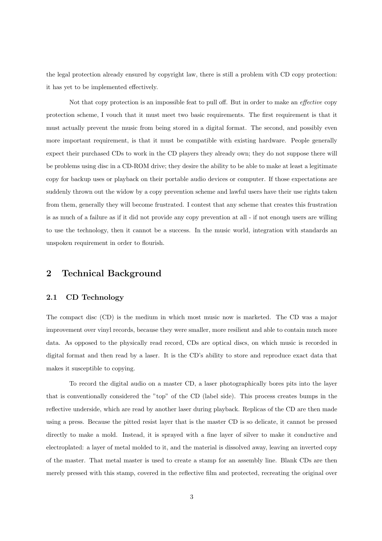the legal protection already ensured by copyright law, there is still a problem with CD copy protection: it has yet to be implemented effectively.

Not that copy protection is an impossible feat to pull off. But in order to make an effective copy protection scheme, I vouch that it must meet two basic requirements. The first requirement is that it must actually prevent the music from being stored in a digital format. The second, and possibly even more important requirement, is that it must be compatible with existing hardware. People generally expect their purchased CDs to work in the CD players they already own; they do not suppose there will be problems using disc in a CD-ROM drive; they desire the ability to be able to make at least a legitimate copy for backup uses or playback on their portable audio devices or computer. If those expectations are suddenly thrown out the widow by a copy prevention scheme and lawful users have their use rights taken from them, generally they will become frustrated. I contest that any scheme that creates this frustration is as much of a failure as if it did not provide any copy prevention at all - if not enough users are willing to use the technology, then it cannot be a success. In the music world, integration with standards an unspoken requirement in order to flourish.

# 2 Technical Background

### 2.1 CD Technology

The compact disc (CD) is the medium in which most music now is marketed. The CD was a major improvement over vinyl records, because they were smaller, more resilient and able to contain much more data. As opposed to the physically read record, CDs are optical discs, on which music is recorded in digital format and then read by a laser. It is the CD's ability to store and reproduce exact data that makes it susceptible to copying.

To record the digital audio on a master CD, a laser photographically bores pits into the layer that is conventionally considered the "top" of the CD (label side). This process creates bumps in the reflective underside, which are read by another laser during playback. Replicas of the CD are then made using a press. Because the pitted resist layer that is the master CD is so delicate, it cannot be pressed directly to make a mold. Instead, it is sprayed with a fine layer of silver to make it conductive and electroplated: a layer of metal molded to it, and the material is dissolved away, leaving an inverted copy of the master. That metal master is used to create a stamp for an assembly line. Blank CDs are then merely pressed with this stamp, covered in the reflective film and protected, recreating the original over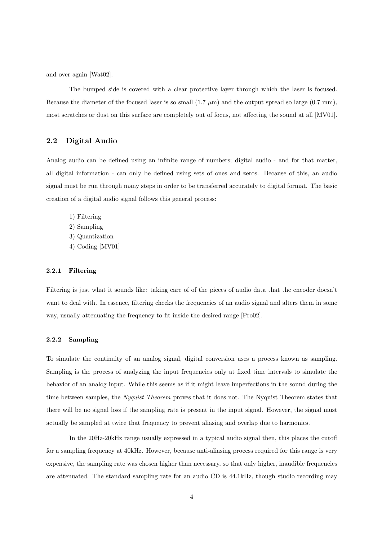and over again [Wat02].

The bumped side is covered with a clear protective layer through which the laser is focused. Because the diameter of the focused laser is so small  $(1.7 \mu m)$  and the output spread so large  $(0.7 \text{ mm})$ , most scratches or dust on this surface are completely out of focus, not affecting the sound at all [MV01].

# 2.2 Digital Audio

Analog audio can be defined using an infinite range of numbers; digital audio - and for that matter, all digital information - can only be defined using sets of ones and zeros. Because of this, an audio signal must be run through many steps in order to be transferred accurately to digital format. The basic creation of a digital audio signal follows this general process:

1) Filtering 2) Sampling 3) Quantization 4) Coding [MV01]

### 2.2.1 Filtering

Filtering is just what it sounds like: taking care of of the pieces of audio data that the encoder doesn't want to deal with. In essence, filtering checks the frequencies of an audio signal and alters them in some way, usually attenuating the frequency to fit inside the desired range [Pro02].

### 2.2.2 Sampling

To simulate the continuity of an analog signal, digital conversion uses a process known as sampling. Sampling is the process of analyzing the input frequencies only at fixed time intervals to simulate the behavior of an analog input. While this seems as if it might leave imperfections in the sound during the time between samples, the Nyquist Theorem proves that it does not. The Nyquist Theorem states that there will be no signal loss if the sampling rate is present in the input signal. However, the signal must actually be sampled at twice that frequency to prevent aliasing and overlap due to harmonics.

In the 20Hz-20kHz range usually expressed in a typical audio signal then, this places the cutoff for a sampling frequency at 40kHz. However, because anti-aliasing process required for this range is very expensive, the sampling rate was chosen higher than necessary, so that only higher, inaudible frequencies are attenuated. The standard sampling rate for an audio CD is 44.1kHz, though studio recording may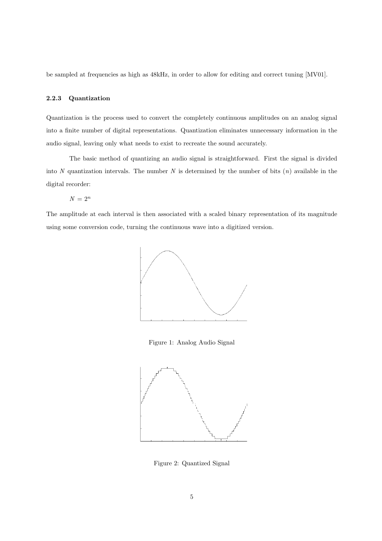be sampled at frequencies as high as 48kHz, in order to allow for editing and correct tuning [MV01].

### 2.2.3 Quantization

Quantization is the process used to convert the completely continuous amplitudes on an analog signal into a finite number of digital representations. Quantization eliminates unnecessary information in the audio signal, leaving only what needs to exist to recreate the sound accurately.

The basic method of quantizing an audio signal is straightforward. First the signal is divided into N quantization intervals. The number N is determined by the number of bits  $(n)$  available in the digital recorder:

 $N = 2^n$ 

The amplitude at each interval is then associated with a scaled binary representation of its magnitude using some conversion code, turning the continuous wave into a digitized version.



Figure 1: Analog Audio Signal



Figure 2: Quantized Signal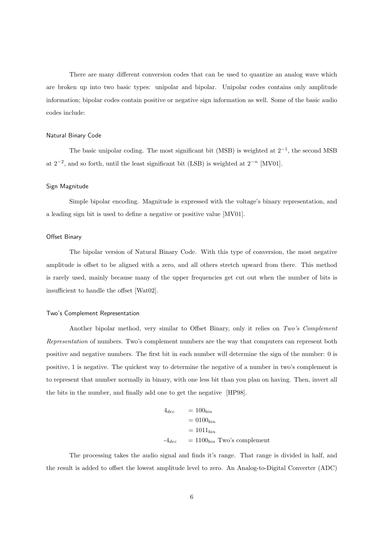There are many different conversion codes that can be used to quantize an analog wave which are broken up into two basic types: unipolar and bipolar. Unipolar codes contains only amplitude information; bipolar codes contain positive or negative sign information as well. Some of the basic audio codes include:

#### Natural Binary Code

The basic unipolar coding. The most significant bit (MSB) is weighted at  $2^{-1}$ , the second MSB at  $2^{-2}$ , and so forth, until the least significant bit (LSB) is weighted at  $2^{-n}$  [MV01].

#### Sign Magnitude

Simple bipolar encoding. Magnitude is expressed with the voltage's binary representation, and a leading sign bit is used to define a negative or positive value [MV01].

#### Offset Binary

The bipolar version of Natural Binary Code. With this type of conversion, the most negative amplitude is offset to be aligned with a zero, and all others stretch upward from there. This method is rarely used, mainly because many of the upper frequencies get cut out when the number of bits is insufficient to handle the offset [Wat02].

#### Two's Complement Representation

Another bipolar method, very similar to Offset Binary, only it relies on Two's Complement Representation of numbers. Two's complement numbers are the way that computers can represent both positive and negative numbers. The first bit in each number will determine the sign of the number: 0 is positive, 1 is negative. The quickest way to determine the negative of a number in two's complement is to represent that number normally in binary, with one less bit than you plan on having. Then, invert all the bits in the number, and finally add one to get the negative [HP98].

$$
4_{dec} = 100_{bin}
$$
  
= 0100<sub>bin</sub>  
= 1011<sub>bin</sub>  
-4<sub>dec</sub> = 1100<sub>bin</sub> Two's complement

The processing takes the audio signal and finds it's range. That range is divided in half, and the result is added to offset the lowest amplitude level to zero. An Analog-to-Digital Converter (ADC)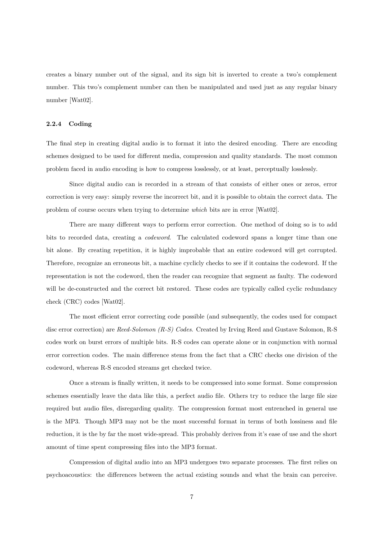creates a binary number out of the signal, and its sign bit is inverted to create a two's complement number. This two's complement number can then be manipulated and used just as any regular binary number [Wat02].

### 2.2.4 Coding

The final step in creating digital audio is to format it into the desired encoding. There are encoding schemes designed to be used for different media, compression and quality standards. The most common problem faced in audio encoding is how to compress losslessly, or at least, perceptually losslessly.

Since digital audio can is recorded in a stream of that consists of either ones or zeros, error correction is very easy: simply reverse the incorrect bit, and it is possible to obtain the correct data. The problem of course occurs when trying to determine which bits are in error [Wat02].

There are many different ways to perform error correction. One method of doing so is to add bits to recorded data, creating a codeword. The calculated codeword spans a longer time than one bit alone. By creating repetition, it is highly improbable that an entire codeword will get corrupted. Therefore, recognize an erroneous bit, a machine cyclicly checks to see if it contains the codeword. If the representation is not the codeword, then the reader can recognize that segment as faulty. The codeword will be de-constructed and the correct bit restored. These codes are typically called cyclic redundancy check (CRC) codes [Wat02].

The most efficient error correcting code possible (and subsequently, the codes used for compact disc error correction) are Reed-Solomon (R-S) Codes. Created by Irving Reed and Gustave Solomon, R-S codes work on burst errors of multiple bits. R-S codes can operate alone or in conjunction with normal error correction codes. The main difference stems from the fact that a CRC checks one division of the codeword, whereas R-S encoded streams get checked twice.

Once a stream is finally written, it needs to be compressed into some format. Some compression schemes essentially leave the data like this, a perfect audio file. Others try to reduce the large file size required but audio files, disregarding quality. The compression format most entrenched in general use is the MP3. Though MP3 may not be the most successful format in terms of both lossiness and file reduction, it is the by far the most wide-spread. This probably derives from it's ease of use and the short amount of time spent compressing files into the MP3 format.

Compression of digital audio into an MP3 undergoes two separate processes. The first relies on psychoacoustics: the differences between the actual existing sounds and what the brain can perceive.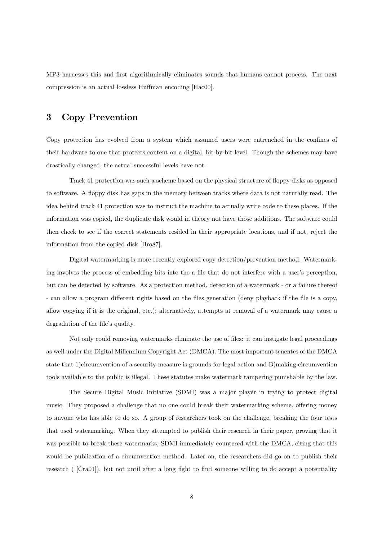MP3 harnesses this and first algorithmically eliminates sounds that humans cannot process. The next compression is an actual lossless Huffman encoding [Hac00].

# 3 Copy Prevention

Copy protection has evolved from a system which assumed users were entrenched in the confines of their hardware to one that protects content on a digital, bit-by-bit level. Though the schemes may have drastically changed, the actual successful levels have not.

Track 41 protection was such a scheme based on the physical structure of floppy disks as opposed to software. A floppy disk has gaps in the memory between tracks where data is not naturally read. The idea behind track 41 protection was to instruct the machine to actually write code to these places. If the information was copied, the duplicate disk would in theory not have those additions. The software could then check to see if the correct statements resided in their appropriate locations, and if not, reject the information from the copied disk [Bro87].

Digital watermarking is more recently explored copy detection/prevention method. Watermarking involves the process of embedding bits into the a file that do not interfere with a user's perception, but can be detected by software. As a protection method, detection of a watermark - or a failure thereof - can allow a program different rights based on the files generation (deny playback if the file is a copy, allow copying if it is the original, etc.); alternatively, attempts at removal of a watermark may cause a degradation of the file's quality.

Not only could removing watermarks eliminate the use of files: it can instigate legal proceedings as well under the Digital Millennium Copyright Act (DMCA). The most important tenentes of the DMCA state that 1)circumvention of a security measure is grounds for legal action and B)making circumvention tools available to the public is illegal. These statutes make watermark tampering punishable by the law.

The Secure Digital Music Initiative (SDMI) was a major player in trying to protect digital music. They proposed a challenge that no one could break their watermarking scheme, offering money to anyone who has able to do so. A group of researchers took on the challenge, breaking the four tests that used watermarking. When they attempted to publish their research in their paper, proving that it was possible to break these watermarks, SDMI immediately countered with the DMCA, citing that this would be publication of a circumvention method. Later on, the researchers did go on to publish their research ( [Cra01]), but not until after a long fight to find someone willing to do accept a potentiality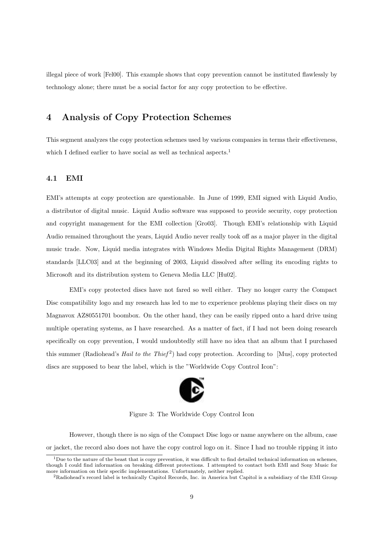illegal piece of work [Fel00]. This example shows that copy prevention cannot be instituted flawlessly by technology alone; there must be a social factor for any copy protection to be effective.

# 4 Analysis of Copy Protection Schemes

This segment analyzes the copy protection schemes used by various companies in terms their effectiveness, which I defined earlier to have social as well as technical aspects.<sup>1</sup>

## 4.1 EMI

EMI's attempts at copy protection are questionable. In June of 1999, EMI signed with Liquid Audio, a distributor of digital music. Liquid Audio software was supposed to provide security, copy protection and copyright management for the EMI collection [Gro03]. Though EMI's relationship with Liquid Audio remained throughout the years, Liquid Audio never really took off as a major player in the digital music trade. Now, Liquid media integrates with Windows Media Digital Rights Management (DRM) standards [LLC03] and at the beginning of 2003, Liquid dissolved after selling its encoding rights to Microsoft and its distribution system to Geneva Media LLC [Hu02].

EMI's copy protected discs have not fared so well either. They no longer carry the Compact Disc compatibility logo and my research has led to me to experience problems playing their discs on my Magnavox AZ80551701 boombox. On the other hand, they can be easily ripped onto a hard drive using multiple operating systems, as I have researched. As a matter of fact, if I had not been doing research specifically on copy prevention, I would undoubtedly still have no idea that an album that I purchased this summer (Radiohead's *Hail to the Thief<sup>2</sup>*) had copy protection. According to [Mus], copy protected discs are supposed to bear the label, which is the "Worldwide Copy Control Icon":



Figure 3: The Worldwide Copy Control Icon

However, though there is no sign of the Compact Disc logo or name anywhere on the album, case or jacket, the record also does not have the copy control logo on it. Since I had no trouble ripping it into

 $1$ Due to the nature of the beast that is copy prevention, it was difficult to find detailed technical information on schemes, though I could find information on breaking different protections. I attempted to contact both EMI and Sony Music for more information on their specific implementations. Unfortunately, neither replied.

<sup>2</sup>Radiohead's record label is technically Capitol Records, Inc. in America but Capitol is a subsidiary of the EMI Group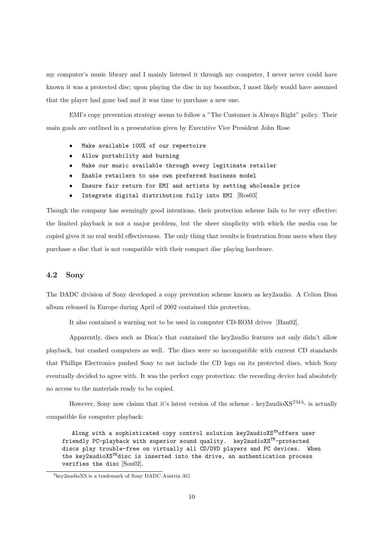my computer's music library and I mainly listened it through my computer, I never never could have known it was a protected disc; upon playing the disc in my boombox, I most likely would have assumed that the player had gone bad and it was time to purchase a new one.

EMI's copy prevention strategy seems to follow a "The Customer is Always Right" policy. Their main goals are outlined in a presentation given by Executive Vice President John Rose

- Make available 100% of our repertoire
- Allow portability and burning
- Make our music available through every legitimate retailer
- Enable retailers to use own preferred business model
- Ensure fair return for EMI and artists by setting wholesale price
- Integrate digital distribution fully into EMI [Ros03]

Though the company has seemingly good intentions, their protection scheme fails to be very effective: the limited playback is not a major problem, but the sheer simplicity with which the media can be copied gives it no real world effectiveness. The only thing that results is frustration from users when they purchase a disc that is not compatible with their compact disc playing hardware.

### 4.2 Sony

The DADC division of Sony developed a copy prevention scheme known as key2audio. A Celion Dion album released in Europe during April of 2002 contained this protection.

It also contained a warning not to be used in computer CD-ROM drives [Han02].

Apparently, discs such as Dion's that contained the key2audio features not only didn't allow playback, but crashed computers as well. The discs were so incompatible with current CD standards that Phillips Electronics pushed Sony to not include the CD logo on its protected discs, which Sony eventually decided to agree with. It was the perfect copy protection: the recording device had absolutely no access to the materials ready to be copied.

However, Sony now claims that it's latest version of the scheme - key2audio $XS^{TM3}$ - is actually compatible for computer playback:

Along with a sophisticated copy control solution key2audioXS™offers user friendly PC-playback with superior sound quality. key2audioXSTM-protected discs play trouble-free on virtually all CD/DVD players and PC devices. When the key2audioXSTMdisc is inserted into the drive, an authentication process verifies the disc [Son02].

<sup>3</sup>key2audioXS is a trademark of Sony DADC Austria AG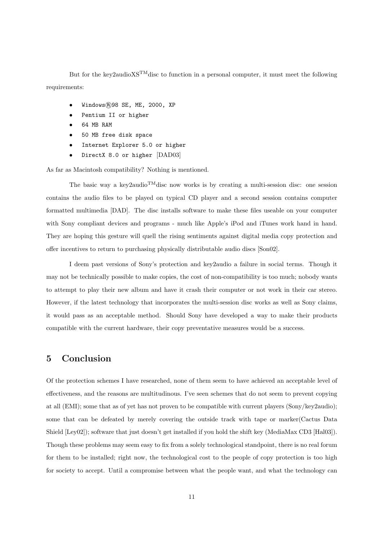But for the key2audio $XS^{TM}$ disc to function in a personal computer, it must meet the following requirements:

- $Windows(R)98 SE, ME, 2000, XP$
- Pentium II or higher
- 64 MB RAM
- 50 MB free disk space
- Internet Explorer 5.0 or higher
- DirectX 8.0 or higher [DAD03]

As far as Macintosh compatibility? Nothing is mentioned.

The basic way a key2audio<sup>TM</sup> disc now works is by creating a multi-session disc: one session contains the audio files to be played on typical CD player and a second session contains computer formatted multimedia [DAD]. The disc installs software to make these files useable on your computer with Sony compliant devices and programs - much like Apple's iPod and iTunes work hand in hand. They are hoping this gesture will quell the rising sentiments against digital media copy protection and offer incentives to return to purchasing physically distributable audio discs [Son02].

I deem past versions of Sony's protection and key2audio a failure in social terms. Though it may not be technically possible to make copies, the cost of non-compatibility is too much; nobody wants to attempt to play their new album and have it crash their computer or not work in their car stereo. However, if the latest technology that incorporates the multi-session disc works as well as Sony claims, it would pass as an acceptable method. Should Sony have developed a way to make their products compatible with the current hardware, their copy preventative measures would be a success.

# 5 Conclusion

Of the protection schemes I have researched, none of them seem to have achieved an acceptable level of effectiveness, and the reasons are multitudinous. I've seen schemes that do not seem to prevent copying at all (EMI); some that as of yet has not proven to be compatible with current players (Sony/key2audio); some that can be defeated by merely covering the outside track with tape or marker(Cactus Data Shield [Ley02]); software that just doesn't get installed if you hold the shift key (MediaMax CD3 [Hal03]). Though these problems may seem easy to fix from a solely technological standpoint, there is no real forum for them to be installed; right now, the technological cost to the people of copy protection is too high for society to accept. Until a compromise between what the people want, and what the technology can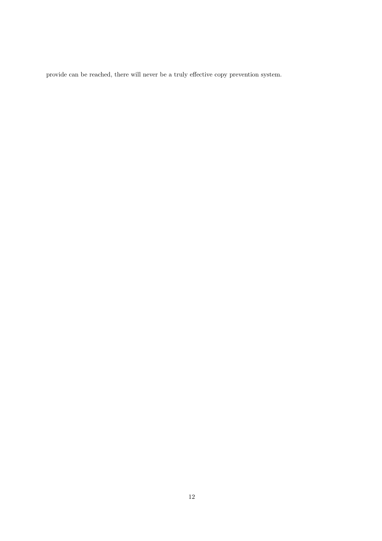provide can be reached, there will never be a truly effective copy prevention system.